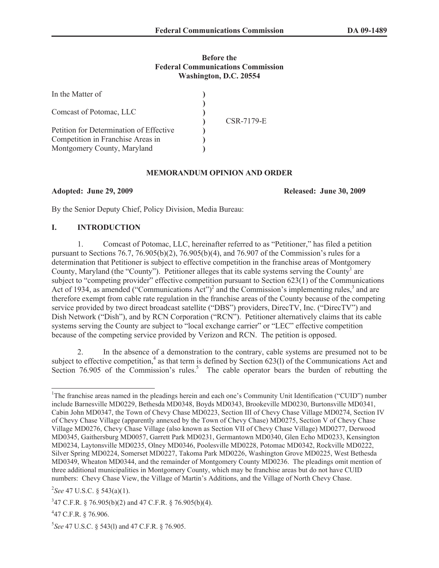#### **Before the Federal Communications Commission Washington, D.C. 20554**

| In the Matter of                                                                                            |            |
|-------------------------------------------------------------------------------------------------------------|------------|
| Comcast of Potomac, LLC                                                                                     | CSR-7179-E |
| Petition for Determination of Effective<br>Competition in Franchise Areas in<br>Montgomery County, Maryland |            |

#### **MEMORANDUM OPINION AND ORDER**

**Adopted: June 29, 2009 Released: June 30, 2009**

By the Senior Deputy Chief, Policy Division, Media Bureau:

## **I. INTRODUCTION**

1. Comcast of Potomac, LLC, hereinafter referred to as "Petitioner," has filed a petition pursuant to Sections 76.7, 76.905(b)(2), 76.905(b)(4), and 76.907 of the Commission's rules for a determination that Petitioner is subject to effective competition in the franchise areas of Montgomery County, Maryland (the "County"). Petitioner alleges that its cable systems serving the County<sup>1</sup> are subject to "competing provider" effective competition pursuant to Section 623(1) of the Communications Act of 1934, as amended ("Communications  $\text{Act}$ ")<sup>2</sup> and the Commission's implementing rules,<sup>3</sup> and are therefore exempt from cable rate regulation in the franchise areas of the County because of the competing service provided by two direct broadcast satellite ("DBS") providers, DirecTV, Inc. ("DirecTV") and Dish Network ("Dish"), and by RCN Corporation ("RCN"). Petitioner alternatively claims that its cable systems serving the County are subject to "local exchange carrier" or "LEC" effective competition because of the competing service provided by Verizon and RCN. The petition is opposed.

2. In the absence of a demonstration to the contrary, cable systems are presumed not to be subject to effective competition,<sup>4</sup> as that term is defined by Section 623(1) of the Communications Act and Section  $76.905$  of the Commission's rules.<sup>5</sup> The cable operator bears the burden of rebutting the

<sup>&</sup>lt;sup>1</sup>The franchise areas named in the pleadings herein and each one's Community Unit Identification ("CUID") number include Barnesville MD0229, Bethesda MD0348, Boyds MD0343, Brookeville MD0230, Burtonsville MD0341, Cabin John MD0347, the Town of Chevy Chase MD0223, Section III of Chevy Chase Village MD0274, Section IV of Chevy Chase Village (apparently annexed by the Town of Chevy Chase) MD0275, Section V of Chevy Chase Village MD0276, Chevy Chase Village (also known as Section VII of Chevy Chase Village) MD0277, Derwood MD0345, Gaithersburg MD0057, Garrett Park MD0231, Germantown MD0340, Glen Echo MD0233, Kensington MD0234, Laytonsville MD0235, Olney MD0346, Poolesville MD0228, Potomac MD0342, Rockville MD0222, Silver Spring MD0224, Somerset MD0227, Takoma Park MD0226, Washington Grove MD0225, West Bethesda MD0349, Wheaton MD0344, and the remainder of Montgomery County MD0236. The pleadings omit mention of three additional municipalities in Montgomery County, which may be franchise areas but do not have CUID numbers: Chevy Chase View, the Village of Martin's Additions, and the Village of North Chevy Chase.

<sup>2</sup> *See* 47 U.S.C. § 543(a)(1).

 $347$  C.F.R. § 76.905(b)(2) and 47 C.F.R. § 76.905(b)(4).

 $447$  C.F.R. § 76.906.

<sup>5</sup> *See* 47 U.S.C. § 543(l) and 47 C.F.R. § 76.905.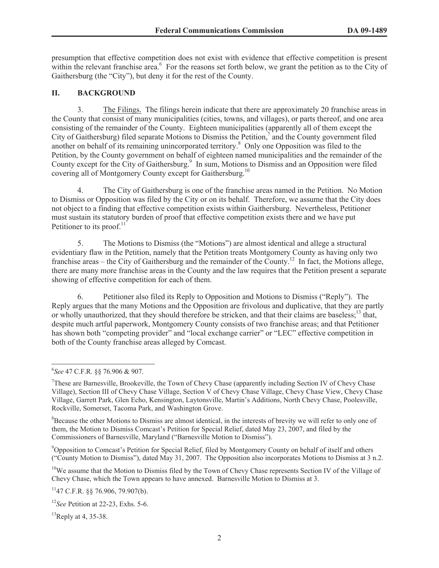presumption that effective competition does not exist with evidence that effective competition is present within the relevant franchise area. $6$  For the reasons set forth below, we grant the petition as to the City of Gaithersburg (the "City"), but deny it for the rest of the County.

# **II. BACKGROUND**

3. The Filings. The filings herein indicate that there are approximately 20 franchise areas in the County that consist of many municipalities (cities, towns, and villages), or parts thereof, and one area consisting of the remainder of the County. Eighteen municipalities (apparently all of them except the City of Gaithersburg) filed separate Motions to Dismiss the Petition, $\frac{7}{1}$  and the County government filed another on behalf of its remaining unincorporated territory.<sup>8</sup> Only one Opposition was filed to the Petition, by the County government on behalf of eighteen named municipalities and the remainder of the County except for the City of Gaithersburg.<sup>9</sup> In sum, Motions to Dismiss and an Opposition were filed covering all of Montgomery County except for Gaithersburg.<sup>10</sup>

4. The City of Gaithersburg is one of the franchise areas named in the Petition. No Motion to Dismiss or Opposition was filed by the City or on its behalf. Therefore, we assume that the City does not object to a finding that effective competition exists within Gaithersburg. Nevertheless, Petitioner must sustain its statutory burden of proof that effective competition exists there and we have put Petitioner to its proof. $11$ 

5. The Motions to Dismiss (the "Motions") are almost identical and allege a structural evidentiary flaw in the Petition, namely that the Petition treats Montgomery County as having only two franchise areas – the City of Gaithersburg and the remainder of the County.<sup>12</sup> In fact, the Motions allege, there are many more franchise areas in the County and the law requires that the Petition present a separate showing of effective competition for each of them.

6. Petitioner also filed its Reply to Opposition and Motions to Dismiss ("Reply"). The Reply argues that the many Motions and the Opposition are frivolous and duplicative, that they are partly or wholly unauthorized, that they should therefore be stricken, and that their claims are baseless;<sup>13</sup> that, despite much artful paperwork, Montgomery County consists of two franchise areas; and that Petitioner has shown both "competing provider" and "local exchange carrier" or "LEC" effective competition in both of the County franchise areas alleged by Comcast.

<sup>8</sup>Because the other Motions to Dismiss are almost identical, in the interests of brevity we will refer to only one of them, the Motion to Dismiss Comcast's Petition for Special Relief, dated May 23, 2007, and filed by the Commissioners of Barnesville, Maryland ("Barnesville Motion to Dismiss").

<sup>9</sup>Opposition to Comcast's Petition for Special Relief, filed by Montgomery County on behalf of itself and others ("County Motion to Dismiss"), dated May 31, 2007. The Opposition also incorporates Motions to Dismiss at 3 n.2.

<sup>10</sup>We assume that the Motion to Dismiss filed by the Town of Chevy Chase represents Section IV of the Village of Chevy Chase, which the Town appears to have annexed. Barnesville Motion to Dismiss at 3.

 $^{11}$ 47 C.F.R. §§ 76.906, 79.907(b).

<sup>6</sup> *See* 47 C.F.R. §§ 76.906 & 907.

<sup>&</sup>lt;sup>7</sup>These are Barnesville, Brookeville, the Town of Chevy Chase (apparently including Section IV of Chevy Chase Village), Section III of Chevy Chase Village, Section V of Chevy Chase Village, Chevy Chase View, Chevy Chase Village, Garrett Park, Glen Echo, Kensington, Laytonsville, Martin's Additions, North Chevy Chase, Poolesville, Rockville, Somerset, Tacoma Park, and Washington Grove.

<sup>12</sup>*See* Petition at 22-23, Exhs. 5-6.

 $^{13}$ Reply at 4, 35-38.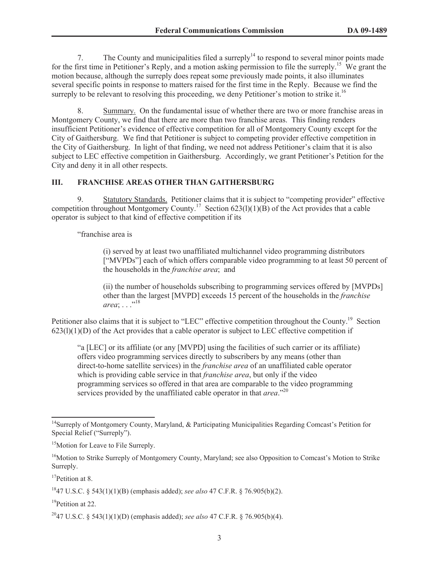7. The County and municipalities filed a surreply<sup>14</sup> to respond to several minor points made for the first time in Petitioner's Reply, and a motion asking permission to file the surreply.<sup>15</sup> We grant the motion because, although the surreply does repeat some previously made points, it also illuminates several specific points in response to matters raised for the first time in the Reply. Because we find the surreply to be relevant to resolving this proceeding, we deny Petitioner's motion to strike it.<sup>16</sup>

8. Summary. On the fundamental issue of whether there are two or more franchise areas in Montgomery County, we find that there are more than two franchise areas. This finding renders insufficient Petitioner's evidence of effective competition for all of Montgomery County except for the City of Gaithersburg. We find that Petitioner is subject to competing provider effective competition in the City of Gaithersburg. In light of that finding, we need not address Petitioner's claim that it is also subject to LEC effective competition in Gaithersburg. Accordingly, we grant Petitioner's Petition for the City and deny it in all other respects.

# **III. FRANCHISE AREAS OTHER THAN GAITHERSBURG**

9. Statutory Standards. Petitioner claims that it is subject to "competing provider" effective competition throughout Montgomery County.<sup>17</sup> Section 623(l)(1)(B) of the Act provides that a cable operator is subject to that kind of effective competition if its

"franchise area is

(i) served by at least two unaffiliated multichannel video programming distributors ["MVPDs"] each of which offers comparable video programming to at least 50 percent of the households in the *franchise area*; and

(ii) the number of households subscribing to programming services offered by [MVPDs] other than the largest [MVPD] exceeds 15 percent of the households in the *franchise area*; . . . .<sup>18</sup>

Petitioner also claims that it is subject to "LEC" effective competition throughout the County.<sup>19</sup> Section  $623(1)(1)(D)$  of the Act provides that a cable operator is subject to LEC effective competition if

"a [LEC] or its affiliate (or any [MVPD] using the facilities of such carrier or its affiliate) offers video programming services directly to subscribers by any means (other than direct-to-home satellite services) in the *franchise area* of an unaffiliated cable operator which is providing cable service in that *franchise area*, but only if the video programming services so offered in that area are comparable to the video programming services provided by the unaffiliated cable operator in that *area*."<sup>20</sup>

<sup>17</sup>Petition at 8.

<sup>19</sup>Petition at 22.

<sup>&</sup>lt;sup>14</sup>Surreply of Montgomery County, Maryland, & Participating Municipalities Regarding Comcast's Petition for Special Relief ("Surreply").

<sup>&</sup>lt;sup>15</sup>Motion for Leave to File Surreply.

<sup>&</sup>lt;sup>16</sup>Motion to Strike Surreply of Montgomery County, Maryland; see also Opposition to Comcast's Motion to Strike Surreply.

<sup>18</sup>47 U.S.C. § 543(1)(1)(B) (emphasis added); *see also* 47 C.F.R. § 76.905(b)(2).

<sup>20</sup>47 U.S.C. § 543(1)(1)(D) (emphasis added); *see also* 47 C.F.R. § 76.905(b)(4).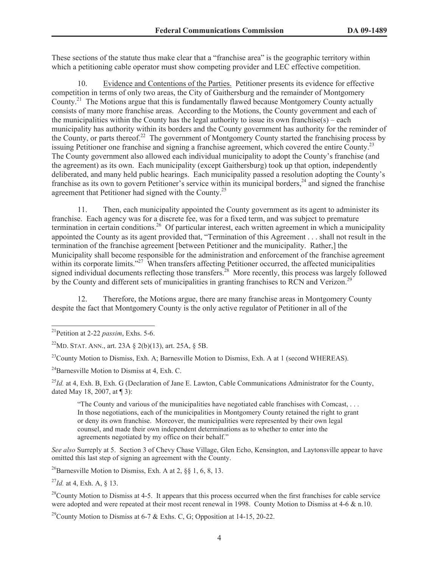These sections of the statute thus make clear that a "franchise area" is the geographic territory within which a petitioning cable operator must show competing provider and LEC effective competition.

10. Evidence and Contentions of the Parties. Petitioner presents its evidence for effective competition in terms of only two areas, the City of Gaithersburg and the remainder of Montgomery County.<sup>21</sup> The Motions argue that this is fundamentally flawed because Montgomery County actually consists of many more franchise areas. According to the Motions, the County government and each of the municipalities within the County has the legal authority to issue its own franchise( $s$ ) – each municipality has authority within its borders and the County government has authority for the reminder of the County, or parts thereof.<sup>22</sup> The government of Montgomery County started the franchising process by issuing Petitioner one franchise and signing a franchise agreement, which covered the entire County.<sup>23</sup> The County government also allowed each individual municipality to adopt the County's franchise (and the agreement) as its own. Each municipality (except Gaithersburg) took up that option, independently deliberated, and many held public hearings. Each municipality passed a resolution adopting the County's franchise as its own to govern Petitioner's service within its municipal borders,<sup>24</sup> and signed the franchise agreement that Petitioner had signed with the County.<sup>25</sup>

11. Then, each municipality appointed the County government as its agent to administer its franchise. Each agency was for a discrete fee, was for a fixed term, and was subject to premature termination in certain conditions.<sup>26</sup> Of particular interest, each written agreement in which a municipality appointed the County as its agent provided that, "Termination of this Agreement . . . shall not result in the termination of the franchise agreement [between Petitioner and the municipality. Rather,] the Municipality shall become responsible for the administration and enforcement of the franchise agreement within its corporate limits."<sup>27</sup> When transfers affecting Petitioner occurred, the affected municipalities signed individual documents reflecting those transfers.<sup>28</sup> More recently, this process was largely followed by the County and different sets of municipalities in granting franchises to RCN and Verizon.<sup>29</sup>

12. Therefore, the Motions argue, there are many franchise areas in Montgomery County despite the fact that Montgomery County is the only active regulator of Petitioner in all of the

 $^{25}$ *Id.* at 4, Exh. B, Exh. G (Declaration of Jane E. Lawton, Cable Communications Administrator for the County, dated May 18, 2007, at ¶ 3):

"The County and various of the municipalities have negotiated cable franchises with Comcast, . . . In those negotiations, each of the municipalities in Montgomery County retained the right to grant or deny its own franchise. Moreover, the municipalities were represented by their own legal counsel, and made their own independent determinations as to whether to enter into the agreements negotiated by my office on their behalf."

*See also* Surreply at 5. Section 3 of Chevy Chase Village, Glen Echo, Kensington, and Laytonsville appear to have omitted this last step of signing an agreement with the County.

<sup>26</sup>Barnesville Motion to Dismiss, Exh. A at 2,  $88$  1, 6, 8, 13.

<sup>27</sup>*Id.* at 4, Exh. A, § 13.

 $28$ County Motion to Dismiss at 4-5. It appears that this process occurred when the first franchises for cable service were adopted and were repeated at their most recent renewal in 1998. County Motion to Dismiss at 4-6  $\&$  n.10.

<sup>29</sup>County Motion to Dismiss at 6-7 & Exhs. C, G; Opposition at 14-15, 20-22.

<sup>21</sup>Petition at 2-22 *passim*, Exhs. 5-6.

<sup>&</sup>lt;sup>22</sup>MD. STAT. ANN., art. 23A  $\S$  2(b)(13), art. 25A,  $\S$  5B.

<sup>&</sup>lt;sup>23</sup>County Motion to Dismiss, Exh. A; Barnesville Motion to Dismiss, Exh. A at 1 (second WHEREAS).

 $^{24}$ Barnesville Motion to Dismiss at 4, Exh. C.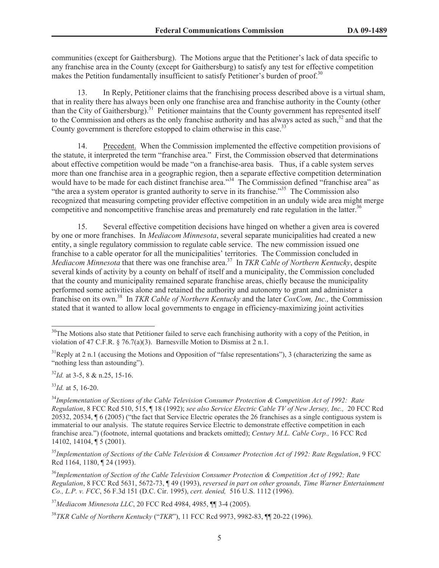communities (except for Gaithersburg). The Motions argue that the Petitioner's lack of data specific to any franchise area in the County (except for Gaithersburg) to satisfy any test for effective competition makes the Petition fundamentally insufficient to satisfy Petitioner's burden of proof.<sup>30</sup>

13. In Reply, Petitioner claims that the franchising process described above is a virtual sham, that in reality there has always been only one franchise area and franchise authority in the County (other than the City of Gaithersburg).<sup>31</sup> Petitioner maintains that the County government has represented itself to the Commission and others as the only franchise authority and has always acted as such, $32$  and that the County government is therefore estopped to claim otherwise in this case.<sup>33</sup>

14. Precedent. When the Commission implemented the effective competition provisions of the statute, it interpreted the term "franchise area." First, the Commission observed that determinations about effective competition would be made "on a franchise-area basis. Thus, if a cable system serves more than one franchise area in a geographic region, then a separate effective competition determination would have to be made for each distinct franchise area."<sup>34</sup> The Commission defined "franchise area" as "the area a system operator is granted authority to serve in its franchise."<sup>35</sup> The Commission also recognized that measuring competing provider effective competition in an unduly wide area might merge competitive and noncompetitive franchise areas and prematurely end rate regulation in the latter.<sup>36</sup>

15. Several effective competition decisions have hinged on whether a given area is covered by one or more franchises. In *Mediacom Minnesota*, several separate municipalities had created a new entity, a single regulatory commission to regulate cable service. The new commission issued one franchise to a cable operator for all the municipalities' territories. The Commission concluded in *Mediacom Minnesota* that there was one franchise area.<sup>37</sup> In *TKR Cable of Northern Kentucky*, despite several kinds of activity by a county on behalf of itself and a municipality, the Commission concluded that the county and municipality remained separate franchise areas, chiefly because the municipality performed some activities alone and retained the authority and autonomy to grant and administer a franchise on its own.<sup>38</sup> In *TKR Cable of Northern Kentucky* and the later *CoxCom, Inc.,* the Commission stated that it wanted to allow local governments to engage in efficiency-maximizing joint activities

<sup>32</sup>*Id.* at 3-5, 8 & n.25, 15-16.

<sup>33</sup>*Id.* at 5, 16-20.

<sup>35</sup>*Implementation of Sections of the Cable Television & Consumer Protection Act of 1992: Rate Regulation*, 9 FCC Rcd 1164, 1180, ¶ 24 (1993).

<sup>36</sup>*Implementation of Section of the Cable Television Consumer Protection & Competition Act of 1992; Rate Regulation*, 8 FCC Rcd 5631, 5672-73, ¶ 49 (1993), *reversed in part on other grounds, Time Warner Entertainment Co., L.P. v. FCC*, 56 F.3d 151 (D.C. Cir. 1995), *cert. denied,* 516 U.S. 1112 (1996).

<sup>37</sup>*Mediacom Minnesota LLC*, 20 FCC Rcd 4984, 4985, ¶¶ 3-4 (2005).

<sup>38</sup>*TKR Cable of Northern Kentucky* ("*TKR*"), 11 FCC Rcd 9973, 9982-83, ¶¶ 20-22 (1996).

<sup>&</sup>lt;sup>30</sup>The Motions also state that Petitioner failed to serve each franchising authority with a copy of the Petition, in violation of 47 C.F.R. § 76.7(a)(3). Barnesville Motion to Dismiss at 2 n.1.

 $31$ Reply at 2 n.1 (accusing the Motions and Opposition of "false representations"), 3 (characterizing the same as "nothing less than astounding").

<sup>34</sup>*Implementation of Sections of the Cable Television Consumer Protection & Competition Act of 1992: Rate Regulation*, 8 FCC Rcd 510, 515, ¶ 18 (1992); *see also Service Electric Cable TV of New Jersey, Inc.,* 20 FCC Rcd 20532, 20534, ¶ 6 (2005) ("the fact that Service Electric operates the 26 franchises as a single contiguous system is immaterial to our analysis. The statute requires Service Electric to demonstrate effective competition in each franchise area.") (footnote, internal quotations and brackets omitted); *Century M.L. Cable Corp.,* 16 FCC Rcd 14102, 14104, ¶ 5 (2001).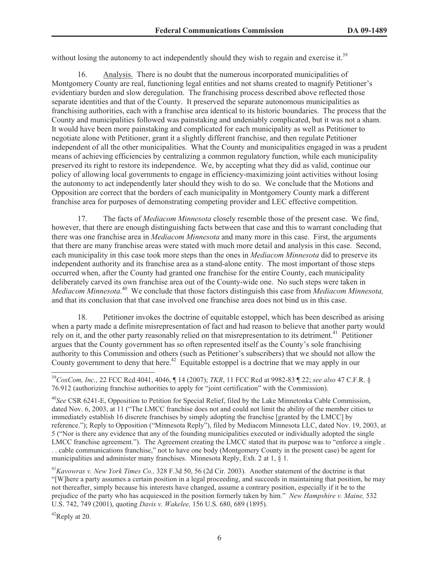without losing the autonomy to act independently should they wish to regain and exercise it.<sup>39</sup>

16. Analysis. There is no doubt that the numerous incorporated municipalities of Montgomery County are real, functioning legal entities and not shams created to magnify Petitioner's evidentiary burden and slow deregulation. The franchising process described above reflected those separate identities and that of the County. It preserved the separate autonomous municipalities as franchising authorities, each with a franchise area identical to its historic boundaries. The process that the County and municipalities followed was painstaking and undeniably complicated, but it was not a sham. It would have been more painstaking and complicated for each municipality as well as Petitioner to negotiate alone with Petitioner, grant it a slightly different franchise, and then regulate Petitioner independent of all the other municipalities. What the County and municipalities engaged in was a prudent means of achieving efficiencies by centralizing a common regulatory function, while each municipality preserved its right to restore its independence. We, by accepting what they did as valid, continue our policy of allowing local governments to engage in efficiency-maximizing joint activities without losing the autonomy to act independently later should they wish to do so. We conclude that the Motions and Opposition are correct that the borders of each municipality in Montgomery County mark a different franchise area for purposes of demonstrating competing provider and LEC effective competition.

17. The facts of *Mediacom Minnesota* closely resemble those of the present case. We find, however, that there are enough distinguishing facts between that case and this to warrant concluding that there was one franchise area in *Mediacom Minnesota* and many more in this case. First, the arguments that there are many franchise areas were stated with much more detail and analysis in this case. Second, each municipality in this case took more steps than the ones in *Mediacom Minnesota* did to preserve its independent authority and its franchise area as a stand-alone entity. The most important of those steps occurred when, after the County had granted one franchise for the entire County, each municipality deliberately carved its own franchise area out of the County-wide one. No such steps were taken in *Mediacom Minnesota.*<sup>40</sup> We conclude that those factors distinguish this case from *Mediacom Minnesota,* and that its conclusion that that case involved one franchise area does not bind us in this case.

18. Petitioner invokes the doctrine of equitable estoppel, which has been described as arising when a party made a definite misrepresentation of fact and had reason to believe that another party would rely on it, and the other party reasonably relied on that misrepresentation to its detriment.<sup>41</sup> Petitioner argues that the County government has so often represented itself as the County's sole franchising authority to this Commission and others (such as Petitioner's subscribers) that we should not allow the County government to deny that here.<sup>42</sup> Equitable estoppel is a doctrine that we may apply in our

<sup>39</sup>*CoxCom, Inc.,* 22 FCC Rcd 4041, 4046, ¶ 14 (2007); *TKR*, 11 FCC Rcd at 9982-83 ¶ 22; *see also* 47 C.F.R. § 76.912 (authorizing franchise authorities to apply for "joint certification" with the Commission).

<sup>40</sup>*See* CSR 6241-E, Opposition to Petition for Special Relief, filed by the Lake Minnetonka Cable Commission, dated Nov. 6, 2003, at 11 ("The LMCC franchise does not and could not limit the ability of the member cities to immediately establish 16 discrete franchises by simply adopting the franchise [granted by the LMCC] by reference."); Reply to Opposition ("Minnesota Reply"), filed by Mediacom Minnesota LLC, dated Nov. 19, 2003, at 5 ("Nor is there any evidence that any of the founding municipalities executed or individually adopted the single LMCC franchise agreement."). The Agreement creating the LMCC stated that its purpose was to "enforce a single . . . cable communications franchise," not to have one body (Montgomery County in the present case) be agent for municipalities and administer many franchises. Minnesota Reply, Exh. 2 at 1, § 1.

<sup>41</sup>*Kavowras v. New York Times Co.,* 328 F.3d 50, 56 (2d Cir. 2003). Another statement of the doctrine is that "[W]here a party assumes a certain position in a legal proceeding, and succeeds in maintaining that position, he may not thereafter, simply because his interests have changed, assume a contrary position, especially if it be to the prejudice of the party who has acquiesced in the position formerly taken by him." *New Hampshire v. Maine,* 532 U.S. 742, 749 (2001), quoting *Davis v. Wakelee,* 156 U.S. 680, 689 (1895).

 $^{42}$ Reply at 20.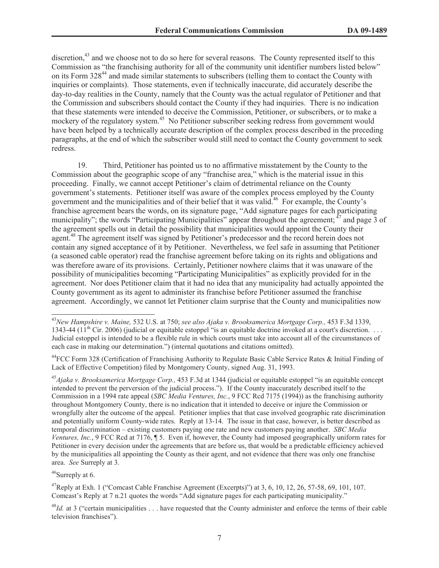discretion,<sup>43</sup> and we choose not to do so here for several reasons. The County represented itself to this Commission as "the franchising authority for all of the community unit identifier numbers listed below" on its Form 328<sup>44</sup> and made similar statements to subscribers (telling them to contact the County with inquiries or complaints). Those statements, even if technically inaccurate, did accurately describe the day-to-day realities in the County, namely that the County was the actual regulator of Petitioner and that the Commission and subscribers should contact the County if they had inquiries. There is no indication that these statements were intended to deceive the Commission, Petitioner, or subscribers, or to make a mockery of the regulatory system.<sup>45</sup> No Petitioner subscriber seeking redress from government would have been helped by a technically accurate description of the complex process described in the preceding paragraphs, at the end of which the subscriber would still need to contact the County government to seek redress.

19. Third, Petitioner has pointed us to no affirmative misstatement by the County to the Commission about the geographic scope of any "franchise area," which is the material issue in this proceeding. Finally, we cannot accept Petitioner's claim of detrimental reliance on the County government's statements. Petitioner itself was aware of the complex process employed by the County government and the municipalities and of their belief that it was valid.<sup>46</sup> For example, the County's franchise agreement bears the words, on its signature page, "Add signature pages for each participating municipality"; the words "Participating Municipalities" appear throughout the agreement; <sup>47</sup> and page 3 of the agreement spells out in detail the possibility that municipalities would appoint the County their agent.<sup>48</sup> The agreement itself was signed by Petitioner's predecessor and the record herein does not contain any signed acceptance of it by Petitioner. Nevertheless, we feel safe in assuming that Petitioner (a seasoned cable operator) read the franchise agreement before taking on its rights and obligations and was therefore aware of its provisions. Certainly, Petitioner nowhere claims that it was unaware of the possibility of municipalities becoming "Participating Municipalities" as explicitly provided for in the agreement. Nor does Petitioner claim that it had no idea that any municipality had actually appointed the County government as its agent to administer its franchise before Petitioner assumed the franchise agreement. Accordingly, we cannot let Petitioner claim surprise that the County and municipalities now

<sup>45</sup>*Ajaka v. Brooksamerica Mortgage Corp.,* 453 F.3d at 1344 (judicial or equitable estoppel "is an equitable concept intended to prevent the perversion of the judicial process."). If the County inaccurately described itself to the Commission in a 1994 rate appeal (*SBC Media Ventures, Inc.*, 9 FCC Rcd 7175 (1994)) as the franchising authority throughout Montgomery County, there is no indication that it intended to deceive or injure the Commission or wrongfully alter the outcome of the appeal. Petitioner implies that that case involved geographic rate discrimination and potentially uniform County-wide rates. Reply at 13-14. The issue in that case, however, is better described as temporal discrimination – existing customers paying one rate and new customers paying another. *SBC Media Ventures, Inc.*, 9 FCC Rcd at 7176, ¶ 5. Even if, however, the County had imposed geographically uniform rates for Petitioner in every decision under the agreements that are before us, that would be a predictable efficiency achieved by the municipalities all appointing the County as their agent, and not evidence that there was only one franchise area. *See* Surreply at 3.

 $46$ Surreply at 6.

 $^{47}$ Reply at Exh. 1 ("Comcast Cable Franchise Agreement (Excerpts)") at 3, 6, 10, 12, 26, 57-58, 69, 101, 107. Comcast's Reply at 7 n.21 quotes the words "Add signature pages for each participating municipality."

<sup>48</sup>*Id.* at 3 ("certain municipalities . . . have requested that the County administer and enforce the terms of their cable television franchises").

<sup>43</sup>*New Hampshire v. Maine,* 532 U.S. at 750; *see also Ajaka v. Brooksamerica Mortgage Corp.,* 453 F.3d 1339, 1343-44 (11<sup>th</sup> Cir. 2006) (judicial or equitable estoppel "is an equitable doctrine invoked at a court's discretion. . . . Judicial estoppel is intended to be a flexible rule in which courts must take into account all of the circumstances of each case in making our determination.") (internal quotations and citations omitted).

<sup>&</sup>lt;sup>44</sup>FCC Form 328 (Certification of Franchising Authority to Regulate Basic Cable Service Rates & Initial Finding of Lack of Effective Competition) filed by Montgomery County, signed Aug. 31, 1993.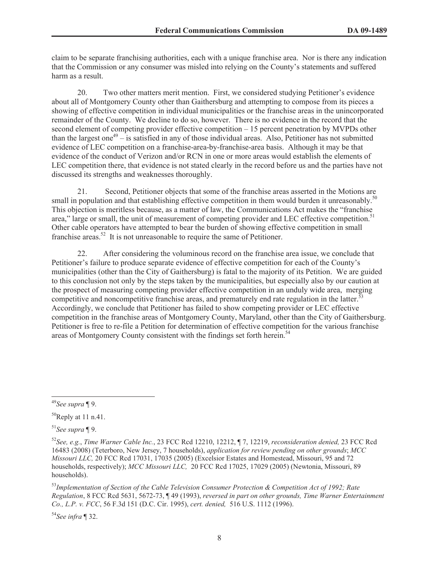claim to be separate franchising authorities, each with a unique franchise area. Nor is there any indication that the Commission or any consumer was misled into relying on the County's statements and suffered harm as a result.

20. Two other matters merit mention. First, we considered studying Petitioner's evidence about all of Montgomery County other than Gaithersburg and attempting to compose from its pieces a showing of effective competition in individual municipalities or the franchise areas in the unincorporated remainder of the County. We decline to do so, however. There is no evidence in the record that the second element of competing provider effective competition – 15 percent penetration by MVPDs other than the largest one<sup>49</sup>  $-$  is satisfied in any of those individual areas. Also, Petitioner has not submitted evidence of LEC competition on a franchise-area-by-franchise-area basis. Although it may be that evidence of the conduct of Verizon and/or RCN in one or more areas would establish the elements of LEC competition there, that evidence is not stated clearly in the record before us and the parties have not discussed its strengths and weaknesses thoroughly.

21. Second, Petitioner objects that some of the franchise areas asserted in the Motions are small in population and that establishing effective competition in them would burden it unreasonably.<sup>50</sup> This objection is meritless because, as a matter of law, the Communications Act makes the "franchise area," large or small, the unit of measurement of competing provider and LEC effective competition.<sup>51</sup> Other cable operators have attempted to bear the burden of showing effective competition in small franchise areas.<sup>52</sup> It is not unreasonable to require the same of Petitioner.

22. After considering the voluminous record on the franchise area issue, we conclude that Petitioner's failure to produce separate evidence of effective competition for each of the County's municipalities (other than the City of Gaithersburg) is fatal to the majority of its Petition. We are guided to this conclusion not only by the steps taken by the municipalities, but especially also by our caution at the prospect of measuring competing provider effective competition in an unduly wide area, merging competitive and noncompetitive franchise areas, and prematurely end rate regulation in the latter.<sup>53</sup> Accordingly, we conclude that Petitioner has failed to show competing provider or LEC effective competition in the franchise areas of Montgomery County, Maryland, other than the City of Gaithersburg. Petitioner is free to re-file a Petition for determination of effective competition for the various franchise areas of Montgomery County consistent with the findings set forth herein.<sup>54</sup>

<sup>53</sup>*Implementation of Section of the Cable Television Consumer Protection & Competition Act of 1992; Rate Regulation*, 8 FCC Rcd 5631, 5672-73, ¶ 49 (1993), *reversed in part on other grounds, Time Warner Entertainment Co., L.P. v. FCC*, 56 F.3d 151 (D.C. Cir. 1995), *cert. denied,* 516 U.S. 1112 (1996).

<sup>54</sup>*See infra* ¶ 32.

<sup>49</sup>*See supra* ¶ 9.

 $50$ Reply at 11 n.41.

<sup>51</sup>*See supra* ¶ 9.

<sup>52</sup>*See, e.g.*, *Time Warner Cable Inc.*, 23 FCC Rcd 12210, 12212, ¶ 7, 12219, *reconsideration denied,* 23 FCC Rcd 16483 (2008) (Teterboro, New Jersey, 7 households), *application for review pending on other grounds*; *MCC Missouri LLC,* 20 FCC Rcd 17031, 17035 (2005) (Excelsior Estates and Homestead, Missouri, 95 and 72 households, respectively); *MCC Missouri LLC,* 20 FCC Rcd 17025, 17029 (2005) (Newtonia, Missouri, 89 households).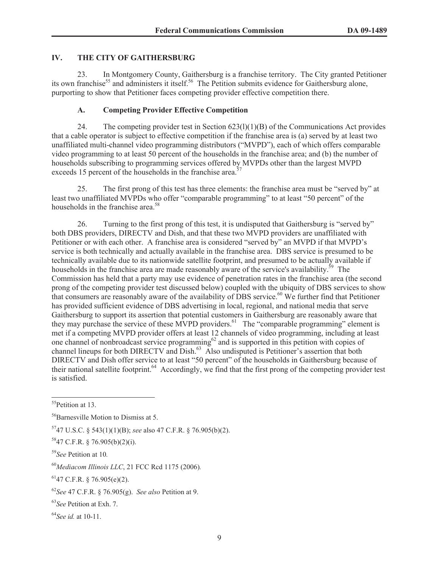## **IV. THE CITY OF GAITHERSBURG**

23. In Montgomery County, Gaithersburg is a franchise territory. The City granted Petitioner its own franchise<sup>55</sup> and administers it itself.<sup>56</sup> The Petition submits evidence for Gaithersburg alone, purporting to show that Petitioner faces competing provider effective competition there.

# **A. Competing Provider Effective Competition**

24. The competing provider test in Section  $623(1)(1)(B)$  of the Communications Act provides that a cable operator is subject to effective competition if the franchise area is (a) served by at least two unaffiliated multi-channel video programming distributors ("MVPD"), each of which offers comparable video programming to at least 50 percent of the households in the franchise area; and (b) the number of households subscribing to programming services offered by MVPDs other than the largest MVPD exceeds 15 percent of the households in the franchise area.<sup>57</sup>

25. The first prong of this test has three elements: the franchise area must be "served by" at least two unaffiliated MVPDs who offer "comparable programming" to at least "50 percent" of the households in the franchise area.<sup>58</sup>

26. Turning to the first prong of this test, it is undisputed that Gaithersburg is "served by" both DBS providers, DIRECTV and Dish, and that these two MVPD providers are unaffiliated with Petitioner or with each other. A franchise area is considered "served by" an MVPD if that MVPD's service is both technically and actually available in the franchise area. DBS service is presumed to be technically available due to its nationwide satellite footprint, and presumed to be actually available if households in the franchise area are made reasonably aware of the service's availability.<sup>59</sup> The Commission has held that a party may use evidence of penetration rates in the franchise area (the second prong of the competing provider test discussed below) coupled with the ubiquity of DBS services to show that consumers are reasonably aware of the availability of DBS service.<sup>60</sup> We further find that Petitioner has provided sufficient evidence of DBS advertising in local, regional, and national media that serve Gaithersburg to support its assertion that potential customers in Gaithersburg are reasonably aware that they may purchase the service of these MVPD providers.<sup>61</sup> The "comparable programming" element is met if a competing MVPD provider offers at least 12 channels of video programming, including at least one channel of nonbroadcast service programming $62$  and is supported in this petition with copies of channel lineups for both DIRECTV and Dish.<sup>63</sup> Also undisputed is Petitioner's assertion that both DIRECTV and Dish offer service to at least "50 percent" of the households in Gaithersburg because of their national satellite footprint.<sup>64</sup> Accordingly, we find that the first prong of the competing provider test is satisfied.

<sup>55</sup>Petition at 13.

<sup>&</sup>lt;sup>56</sup>Barnesville Motion to Dismiss at 5.

<sup>57</sup>47 U.S.C. § 543(1)(1)(B); *see* also 47 C.F.R. § 76.905(b)(2).

<sup>58</sup>47 C.F.R. § 76.905(b)(2)(i).

<sup>59</sup>*See* Petition at 10*.*

<sup>60</sup>*Mediacom Illinois LLC*, 21 FCC Rcd 1175 (2006)*.*

 $6147$  C.F.R. § 76.905(e)(2).

<sup>62</sup>*See* 47 C.F.R. § 76.905(g). *See also* Petition at 9.

<sup>63</sup>*See* Petition at Exh. 7.

<sup>64</sup>*See id.* at 10-11.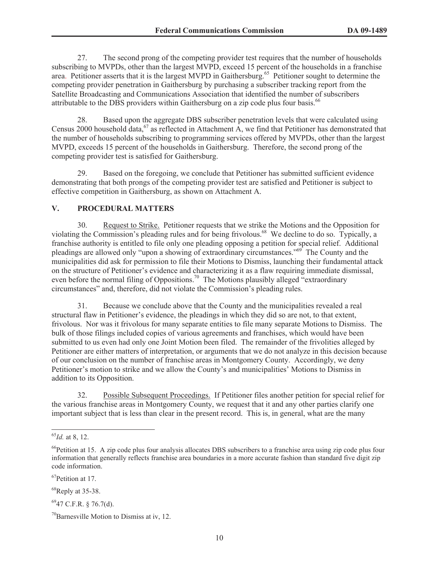27. The second prong of the competing provider test requires that the number of households subscribing to MVPDs, other than the largest MVPD, exceed 15 percent of the households in a franchise area. Petitioner asserts that it is the largest MVPD in Gaithersburg.<sup>65</sup> Petitioner sought to determine the competing provider penetration in Gaithersburg by purchasing a subscriber tracking report from the Satellite Broadcasting and Communications Association that identified the number of subscribers attributable to the DBS providers within Gaithersburg on a zip code plus four basis.<sup>66</sup>

28. Based upon the aggregate DBS subscriber penetration levels that were calculated using Census 2000 household data,<sup>67</sup> as reflected in Attachment A, we find that Petitioner has demonstrated that the number of households subscribing to programming services offered by MVPDs, other than the largest MVPD, exceeds 15 percent of the households in Gaithersburg. Therefore, the second prong of the competing provider test is satisfied for Gaithersburg.

29. Based on the foregoing, we conclude that Petitioner has submitted sufficient evidence demonstrating that both prongs of the competing provider test are satisfied and Petitioner is subject to effective competition in Gaithersburg, as shown on Attachment A.

## **V. PROCEDURAL MATTERS**

30. Request to Strike. Petitioner requests that we strike the Motions and the Opposition for violating the Commission's pleading rules and for being frivolous.<sup>68</sup> We decline to do so. Typically, a franchise authority is entitled to file only one pleading opposing a petition for special relief. Additional pleadings are allowed only "upon a showing of extraordinary circumstances."<sup>69</sup> The County and the municipalities did ask for permission to file their Motions to Dismiss, launching their fundamental attack on the structure of Petitioner's evidence and characterizing it as a flaw requiring immediate dismissal, even before the normal filing of Oppositions.<sup>70</sup> The Motions plausibly alleged "extraordinary" circumstances" and, therefore, did not violate the Commission's pleading rules.

31. Because we conclude above that the County and the municipalities revealed a real structural flaw in Petitioner's evidence, the pleadings in which they did so are not, to that extent, frivolous. Nor was it frivolous for many separate entities to file many separate Motions to Dismiss. The bulk of those filings included copies of various agreements and franchises, which would have been submitted to us even had only one Joint Motion been filed. The remainder of the frivolities alleged by Petitioner are either matters of interpretation, or arguments that we do not analyze in this decision because of our conclusion on the number of franchise areas in Montgomery County. Accordingly, we deny Petitioner's motion to strike and we allow the County's and municipalities' Motions to Dismiss in addition to its Opposition.

32. Possible Subsequent Proceedings. If Petitioner files another petition for special relief for the various franchise areas in Montgomery County, we request that it and any other parties clarify one important subject that is less than clear in the present record. This is, in general, what are the many

<sup>67</sup>Petition at 17.

 $68$ Reply at 35-38.

 $^{69}$ 47 C.F.R. § 76.7(d).

<sup>65</sup>*Id.* at 8, 12.

 $66$ Petition at 15. A zip code plus four analysis allocates DBS subscribers to a franchise area using zip code plus four information that generally reflects franchise area boundaries in a more accurate fashion than standard five digit zip code information.

 $70B$ arnesville Motion to Dismiss at iv, 12.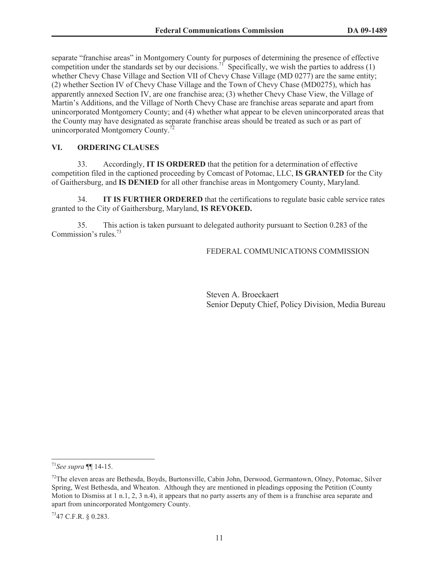separate "franchise areas" in Montgomery County for purposes of determining the presence of effective competition under the standards set by our decisions.<sup>71</sup> Specifically, we wish the parties to address (1) whether Chevy Chase Village and Section VII of Chevy Chase Village (MD 0277) are the same entity; (2) whether Section IV of Chevy Chase Village and the Town of Chevy Chase (MD0275), which has apparently annexed Section IV, are one franchise area; (3) whether Chevy Chase View, the Village of Martin's Additions, and the Village of North Chevy Chase are franchise areas separate and apart from unincorporated Montgomery County; and (4) whether what appear to be eleven unincorporated areas that the County may have designated as separate franchise areas should be treated as such or as part of unincorporated Montgomery County.<sup>7</sup>

#### **VI. ORDERING CLAUSES**

33. Accordingly, **IT IS ORDERED** that the petition for a determination of effective competition filed in the captioned proceeding by Comcast of Potomac, LLC, **IS GRANTED** for the City of Gaithersburg, and **IS DENIED** for all other franchise areas in Montgomery County, Maryland.

34. **IT IS FURTHER ORDERED** that the certifications to regulate basic cable service rates granted to the City of Gaithersburg, Maryland, **IS REVOKED.**

35. This action is taken pursuant to delegated authority pursuant to Section 0.283 of the Commission's rules.<sup>73</sup>

FEDERAL COMMUNICATIONS COMMISSION

Steven A. Broeckaert Senior Deputy Chief, Policy Division, Media Bureau

<sup>71</sup>*See supra* ¶¶ 14-15.

<sup>&</sup>lt;sup>72</sup>The eleven areas are Bethesda, Boyds, Burtonsville, Cabin John, Derwood, Germantown, Olney, Potomac, Silver Spring, West Bethesda, and Wheaton. Although they are mentioned in pleadings opposing the Petition (County Motion to Dismiss at 1 n.1, 2, 3 n.4), it appears that no party asserts any of them is a franchise area separate and apart from unincorporated Montgomery County.

 $^{73}$ 47 C.F.R. § 0.283.